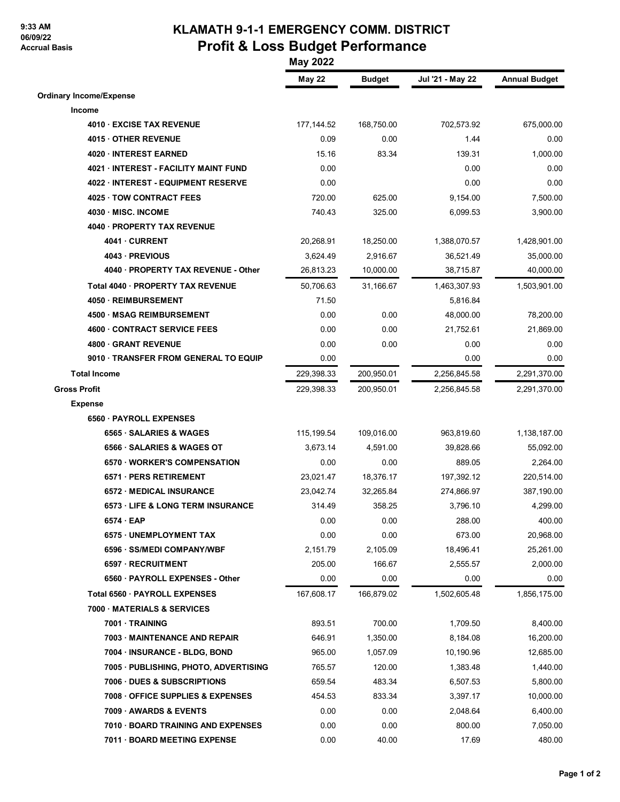## **9:33 AM 06/09/22 Accrual Basis**

## **KLAMATH 9-1-1 EMERGENCY COMM. DISTRICT Profit & Loss Budget Performance**

|                                       | <b>May 2022</b> |               |                  |                      |  |
|---------------------------------------|-----------------|---------------|------------------|----------------------|--|
|                                       | <b>May 22</b>   | <b>Budget</b> | Jul '21 - May 22 | <b>Annual Budget</b> |  |
| <b>Ordinary Income/Expense</b>        |                 |               |                  |                      |  |
| Income                                |                 |               |                  |                      |  |
| 4010 EXCISE TAX REVENUE               | 177,144.52      | 168,750.00    | 702,573.92       | 675,000.00           |  |
| 4015 OTHER REVENUE                    | 0.09            | 0.00          | 1.44             | 0.00                 |  |
| 4020 · INTEREST EARNED                | 15.16           | 83.34         | 139.31           | 1,000.00             |  |
| 4021 · INTEREST - FACILITY MAINT FUND | 0.00            |               | 0.00             | 0.00                 |  |
| 4022 · INTEREST - EQUIPMENT RESERVE   | 0.00            |               | 0.00             | 0.00                 |  |
| 4025 TOW CONTRACT FEES                | 720.00          | 625.00        | 9,154.00         | 7,500.00             |  |
| 4030 MISC. INCOME                     | 740.43          | 325.00        | 6,099.53         | 3,900.00             |  |
| 4040 · PROPERTY TAX REVENUE           |                 |               |                  |                      |  |
| 4041 CURRENT                          | 20,268.91       | 18,250.00     | 1,388,070.57     | 1,428,901.00         |  |
| 4043 - PREVIOUS                       | 3,624.49        | 2,916.67      | 36,521.49        | 35,000.00            |  |
| 4040 · PROPERTY TAX REVENUE - Other   | 26,813.23       | 10,000.00     | 38,715.87        | 40,000.00            |  |
| Total 4040 · PROPERTY TAX REVENUE     | 50,706.63       | 31,166.67     | 1,463,307.93     | 1,503,901.00         |  |
| 4050 · REIMBURSEMENT                  | 71.50           |               | 5,816.84         |                      |  |
| 4500 · MSAG REIMBURSEMENT             | 0.00            | 0.00          | 48,000.00        | 78,200.00            |  |
| <b>4600 CONTRACT SERVICE FEES</b>     | 0.00            | 0.00          | 21,752.61        | 21,869.00            |  |
| 4800 GRANT REVENUE                    | 0.00            | 0.00          | 0.00             | 0.00                 |  |
| 9010 · TRANSFER FROM GENERAL TO EQUIP | 0.00            |               | 0.00             | 0.00                 |  |
| <b>Total Income</b>                   | 229,398.33      | 200,950.01    | 2,256,845.58     | 2,291,370.00         |  |
| <b>Gross Profit</b>                   | 229,398.33      | 200,950.01    | 2,256,845.58     | 2,291,370.00         |  |
| <b>Expense</b>                        |                 |               |                  |                      |  |
| 6560 · PAYROLL EXPENSES               |                 |               |                  |                      |  |
| 6565 · SALARIES & WAGES               | 115,199.54      | 109,016.00    | 963,819.60       | 1,138,187.00         |  |
| 6566 SALARIES & WAGES OT              | 3,673.14        | 4,591.00      | 39,828.66        | 55,092.00            |  |
| 6570 · WORKER'S COMPENSATION          | 0.00            | 0.00          | 889.05           | 2,264.00             |  |
| 6571 · PERS RETIREMENT                | 23,021.47       | 18,376.17     | 197,392.12       | 220,514.00           |  |
| 6572 MEDICAL INSURANCE                | 23,042.74       | 32,265.84     | 274,866.97       | 387,190.00           |  |
| 6573 LIFE & LONG TERM INSURANCE       | 314.49          | 358.25        | 3,796.10         | 4,299.00             |  |
| 6574 EAP                              | 0.00            | 0.00          | 288.00           | 400.00               |  |
| 6575 · UNEMPLOYMENT TAX               | 0.00            | 0.00          | 673.00           | 20,968.00            |  |
| 6596 · SS/MEDI COMPANY/WBF            | 2,151.79        | 2,105.09      | 18,496.41        | 25,261.00            |  |
| 6597 · RECRUITMENT                    | 205.00          | 166.67        | 2,555.57         | 2,000.00             |  |
| 6560 · PAYROLL EXPENSES - Other       | 0.00            | 0.00          | 0.00             | 0.00                 |  |
| <b>Total 6560 PAYROLL EXPENSES</b>    | 167,608.17      | 166,879.02    | 1,502,605.48     | 1,856,175.00         |  |
| 7000 MATERIALS & SERVICES             |                 |               |                  |                      |  |
| 7001 · TRAINING                       | 893.51          | 700.00        | 1,709.50         | 8,400.00             |  |
| 7003 MAINTENANCE AND REPAIR           | 646.91          | 1,350.00      | 8,184.08         | 16,200.00            |  |
| 7004 · INSURANCE - BLDG, BOND         | 965.00          | 1,057.09      | 10,190.96        | 12,685.00            |  |
| 7005 · PUBLISHING, PHOTO, ADVERTISING | 765.57          | 120.00        | 1,383.48         | 1,440.00             |  |
| 7006 DUES & SUBSCRIPTIONS             | 659.54          | 483.34        | 6,507.53         | 5,800.00             |  |
| 7008 OFFICE SUPPLIES & EXPENSES       | 454.53          | 833.34        | 3,397.17         | 10,000.00            |  |
| 7009 AWARDS & EVENTS                  | 0.00            | 0.00          | 2,048.64         | 6,400.00             |  |
| 7010 BOARD TRAINING AND EXPENSES      | 0.00            | 0.00          | 800.00           | 7,050.00             |  |
| 7011 · BOARD MEETING EXPENSE          | 0.00            | 40.00         | 17.69            | 480.00               |  |